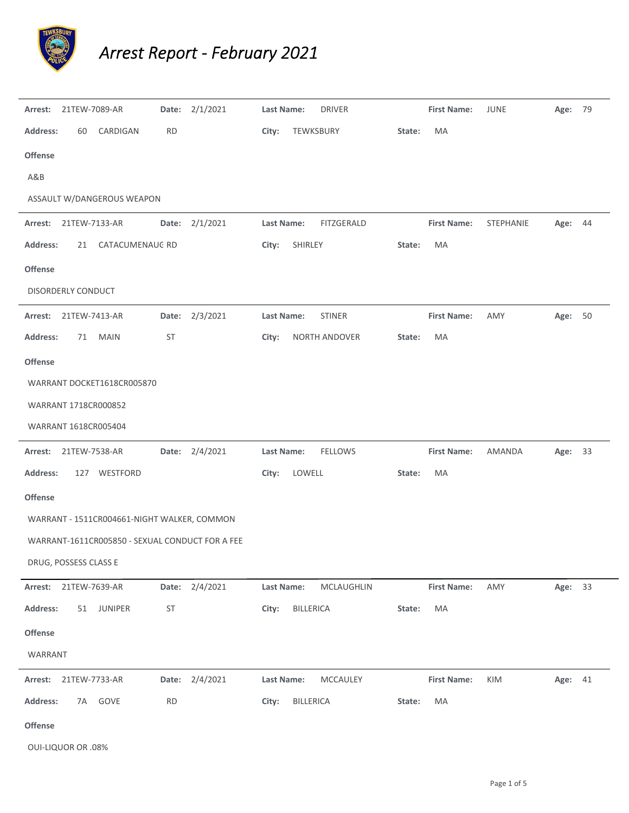

## *Arrest Report ‐ February 2021*

| Arrest:         | 21TEW-7089-AR         |                                                 |                      | Date: 2/1/2021 | Last Name: |                  | <b>DRIVER</b>  |        | <b>First Name:</b> | JUNE      | Age: 79 |    |
|-----------------|-----------------------|-------------------------------------------------|----------------------|----------------|------------|------------------|----------------|--------|--------------------|-----------|---------|----|
| <b>Address:</b> | 60                    | CARDIGAN                                        | <b>RD</b>            |                | City:      |                  | TEWKSBURY      | State: | MA                 |           |         |    |
| <b>Offense</b>  |                       |                                                 |                      |                |            |                  |                |        |                    |           |         |    |
| A&B             |                       |                                                 |                      |                |            |                  |                |        |                    |           |         |    |
|                 |                       | ASSAULT W/DANGEROUS WEAPON                      |                      |                |            |                  |                |        |                    |           |         |    |
| Arrest:         | 21TEW-7133-AR         |                                                 |                      | Date: 2/1/2021 | Last Name: |                  | FITZGERALD     |        | <b>First Name:</b> | STEPHANIE | Age:    | 44 |
| <b>Address:</b> | 21                    | CATACUMENAUG RD                                 |                      |                | City:      | SHIRLEY          |                | State: | MA                 |           |         |    |
| <b>Offense</b>  |                       |                                                 |                      |                |            |                  |                |        |                    |           |         |    |
|                 | DISORDERLY CONDUCT    |                                                 |                      |                |            |                  |                |        |                    |           |         |    |
|                 | Arrest: 21TEW-7413-AR |                                                 |                      | Date: 2/3/2021 | Last Name: |                  | <b>STINER</b>  |        | <b>First Name:</b> | AMY       | Age: 50 |    |
| <b>Address:</b> | 71                    | <b>MAIN</b>                                     | <b>ST</b>            |                | City:      |                  | NORTH ANDOVER  | State: | MA                 |           |         |    |
| <b>Offense</b>  |                       |                                                 |                      |                |            |                  |                |        |                    |           |         |    |
|                 |                       | WARRANT DOCKET1618CR005870                      |                      |                |            |                  |                |        |                    |           |         |    |
|                 | WARRANT 1718CR000852  |                                                 |                      |                |            |                  |                |        |                    |           |         |    |
|                 | WARRANT 1618CR005404  |                                                 |                      |                |            |                  |                |        |                    |           |         |    |
| Arrest:         | 21TEW-7538-AR         |                                                 |                      | Date: 2/4/2021 | Last Name: |                  | <b>FELLOWS</b> |        | <b>First Name:</b> | AMANDA    | Age: 33 |    |
| <b>Address:</b> |                       | 127 WESTFORD                                    |                      |                | City:      | LOWELL           |                | State: | MA                 |           |         |    |
| <b>Offense</b>  |                       |                                                 |                      |                |            |                  |                |        |                    |           |         |    |
|                 |                       | WARRANT - 1511CR004661-NIGHT WALKER, COMMON     |                      |                |            |                  |                |        |                    |           |         |    |
|                 |                       | WARRANT-1611CR005850 - SEXUAL CONDUCT FOR A FEE |                      |                |            |                  |                |        |                    |           |         |    |
|                 | DRUG, POSSESS CLASS E |                                                 |                      |                |            |                  |                |        |                    |           |         |    |
|                 | Arrest: 21TEW-7639-AR |                                                 |                      | Date: 2/4/2021 | Last Name: |                  | MCLAUGHLIN     |        | <b>First Name:</b> | AMY       | Age: 33 |    |
| Address:        |                       | 51 JUNIPER                                      | $\mathsf{ST}\xspace$ |                | City:      | BILLERICA        |                | State: | MA                 |           |         |    |
| Offense         |                       |                                                 |                      |                |            |                  |                |        |                    |           |         |    |
| WARRANT         |                       |                                                 |                      |                |            |                  |                |        |                    |           |         |    |
|                 | Arrest: 21TEW-7733-AR |                                                 |                      | Date: 2/4/2021 | Last Name: |                  | MCCAULEY       |        | <b>First Name:</b> | KIM       | Age: 41 |    |
| <b>Address:</b> |                       | 7A GOVE                                         | <b>RD</b>            |                | City:      | <b>BILLERICA</b> |                | State: | MA                 |           |         |    |
| Offense         |                       |                                                 |                      |                |            |                  |                |        |                    |           |         |    |

OUI‐LIQUOR OR .08%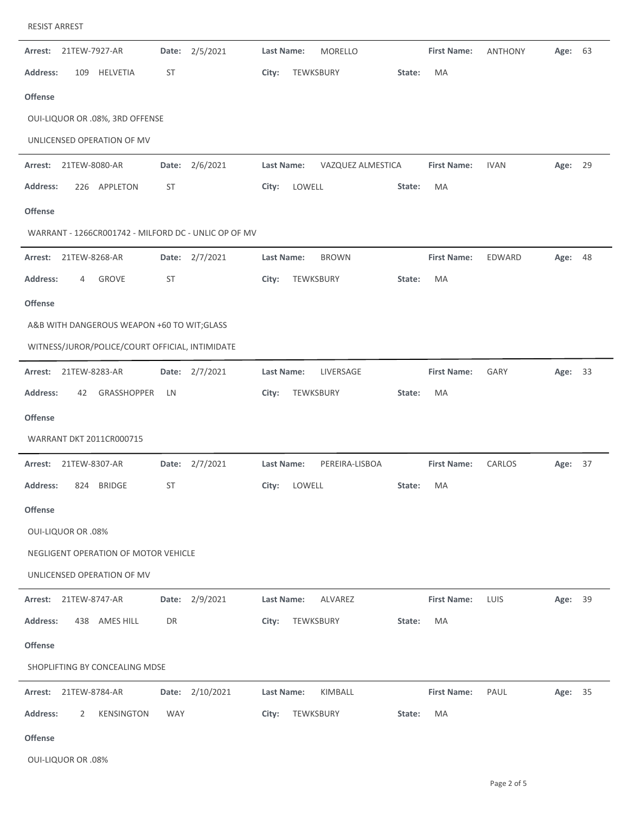|  | RESIST ARREST |
|--|---------------|
|--|---------------|

| Arrest:         | 21TEW-7927-AR             |                                                 |            | Date: 2/5/2021                                       | <b>Last Name:</b> |           | <b>MORELLO</b>    |        | <b>First Name:</b> | <b>ANTHONY</b> | Age:    | 63 |
|-----------------|---------------------------|-------------------------------------------------|------------|------------------------------------------------------|-------------------|-----------|-------------------|--------|--------------------|----------------|---------|----|
| <b>Address:</b> | 109                       | HELVETIA                                        | ST         |                                                      | City:             | TEWKSBURY |                   | State: | MA                 |                |         |    |
| <b>Offense</b>  |                           |                                                 |            |                                                      |                   |           |                   |        |                    |                |         |    |
|                 |                           | OUI-LIQUOR OR .08%, 3RD OFFENSE                 |            |                                                      |                   |           |                   |        |                    |                |         |    |
|                 |                           | UNLICENSED OPERATION OF MV                      |            |                                                      |                   |           |                   |        |                    |                |         |    |
| Arrest:         | 21TEW-8080-AR             |                                                 | Date:      | 2/6/2021                                             | Last Name:        |           | VAZQUEZ ALMESTICA |        | <b>First Name:</b> | <b>IVAN</b>    | Age:    | 29 |
| <b>Address:</b> | 226                       | APPLETON                                        | ST         |                                                      | City:             | LOWELL    |                   | State: | MA                 |                |         |    |
| <b>Offense</b>  |                           |                                                 |            |                                                      |                   |           |                   |        |                    |                |         |    |
|                 |                           |                                                 |            | WARRANT - 1266CR001742 - MILFORD DC - UNLIC OP OF MV |                   |           |                   |        |                    |                |         |    |
| Arrest:         | 21TEW-8268-AR             |                                                 |            | Date: 2/7/2021                                       | Last Name:        |           | <b>BROWN</b>      |        | <b>First Name:</b> | EDWARD         | Age:    | 48 |
| <b>Address:</b> | 4                         | <b>GROVE</b>                                    | ST         |                                                      | City:             | TEWKSBURY |                   | State: | MA                 |                |         |    |
| <b>Offense</b>  |                           |                                                 |            |                                                      |                   |           |                   |        |                    |                |         |    |
|                 |                           | A&B WITH DANGEROUS WEAPON +60 TO WIT;GLASS      |            |                                                      |                   |           |                   |        |                    |                |         |    |
|                 |                           | WITNESS/JUROR/POLICE/COURT OFFICIAL, INTIMIDATE |            |                                                      |                   |           |                   |        |                    |                |         |    |
| Arrest:         | 21TEW-8283-AR             |                                                 |            | Date: 2/7/2021                                       | <b>Last Name:</b> |           | LIVERSAGE         |        | <b>First Name:</b> | GARY           | Age:    | 33 |
| <b>Address:</b> | 42                        | GRASSHOPPER                                     | LN         |                                                      | City:             | TEWKSBURY |                   | State: | MA                 |                |         |    |
| <b>Offense</b>  |                           |                                                 |            |                                                      |                   |           |                   |        |                    |                |         |    |
|                 |                           | <b>WARRANT DKT 2011CR000715</b>                 |            |                                                      |                   |           |                   |        |                    |                |         |    |
| Arrest:         | 21TEW-8307-AR             |                                                 |            | Date: 2/7/2021                                       | Last Name:        |           | PEREIRA-LISBOA    |        | <b>First Name:</b> | CARLOS         | Age:    | 37 |
| <b>Address:</b> | 824                       | <b>BRIDGE</b>                                   | ST         |                                                      | City:             | LOWELL    |                   | State: | MA                 |                |         |    |
| <b>Offense</b>  |                           |                                                 |            |                                                      |                   |           |                   |        |                    |                |         |    |
|                 | <b>OUI-LIQUOR OR .08%</b> |                                                 |            |                                                      |                   |           |                   |        |                    |                |         |    |
|                 |                           | NEGLIGENT OPERATION OF MOTOR VEHICLE            |            |                                                      |                   |           |                   |        |                    |                |         |    |
|                 |                           | UNLICENSED OPERATION OF MV                      |            |                                                      |                   |           |                   |        |                    |                |         |    |
| Arrest:         | 21TEW-8747-AR             |                                                 |            | Date: 2/9/2021                                       | Last Name:        |           | ALVAREZ           |        | <b>First Name:</b> | LUIS           | Age:    | 39 |
| <b>Address:</b> |                           | 438 AMES HILL                                   | DR         |                                                      | City:             | TEWKSBURY |                   | State: | MA                 |                |         |    |
| <b>Offense</b>  |                           |                                                 |            |                                                      |                   |           |                   |        |                    |                |         |    |
|                 |                           | SHOPLIFTING BY CONCEALING MDSE                  |            |                                                      |                   |           |                   |        |                    |                |         |    |
| Arrest:         | 21TEW-8784-AR             |                                                 |            | Date: 2/10/2021                                      | Last Name:        |           | KIMBALL           |        | <b>First Name:</b> | PAUL           | Age: 35 |    |
| <b>Address:</b> | 2                         | <b>KENSINGTON</b>                               | <b>WAY</b> |                                                      | City:             | TEWKSBURY |                   | State: | MA                 |                |         |    |
| <b>Offense</b>  |                           |                                                 |            |                                                      |                   |           |                   |        |                    |                |         |    |

OUI‐LIQUOR OR .08%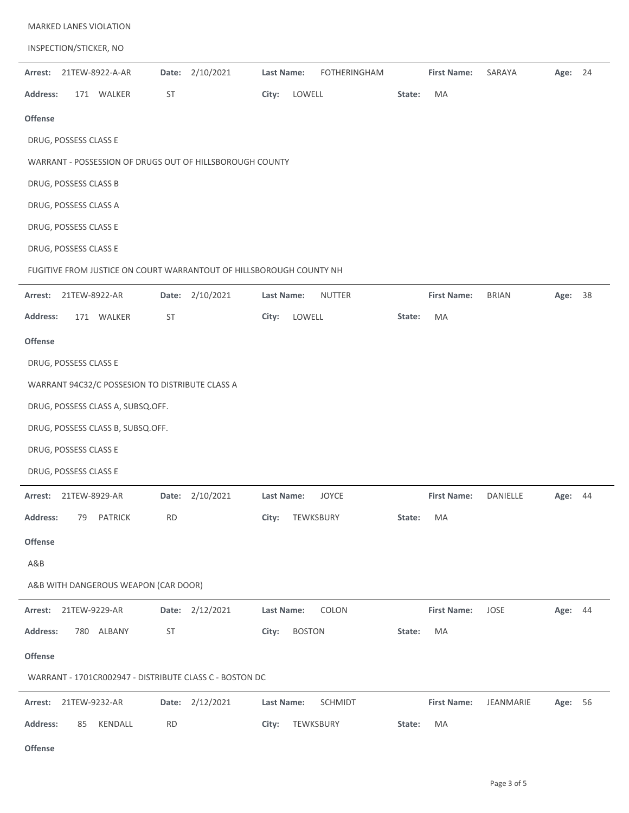| <b>MARKED LANES VIOLATION</b>                                       |                 |                                   |                    |              |            |
|---------------------------------------------------------------------|-----------------|-----------------------------------|--------------------|--------------|------------|
| INSPECTION/STICKER, NO                                              |                 |                                   |                    |              |            |
| 21TEW-8922-A-AR<br>Arrest:                                          | Date: 2/10/2021 | Last Name:<br><b>FOTHERINGHAM</b> | <b>First Name:</b> | SARAYA       | Age: 24    |
| <b>Address:</b><br>171 WALKER                                       | ST              | City:<br>LOWELL                   | MA<br>State:       |              |            |
| Offense                                                             |                 |                                   |                    |              |            |
| DRUG, POSSESS CLASS E                                               |                 |                                   |                    |              |            |
| WARRANT - POSSESSION OF DRUGS OUT OF HILLSBOROUGH COUNTY            |                 |                                   |                    |              |            |
| DRUG, POSSESS CLASS B                                               |                 |                                   |                    |              |            |
| DRUG, POSSESS CLASS A                                               |                 |                                   |                    |              |            |
| DRUG, POSSESS CLASS E                                               |                 |                                   |                    |              |            |
| DRUG, POSSESS CLASS E                                               |                 |                                   |                    |              |            |
| FUGITIVE FROM JUSTICE ON COURT WARRANTOUT OF HILLSBOROUGH COUNTY NH |                 |                                   |                    |              |            |
| Arrest:<br>21TEW-8922-AR                                            | Date: 2/10/2021 | <b>NUTTER</b><br>Last Name:       | <b>First Name:</b> | <b>BRIAN</b> | Age:<br>38 |
| Address:<br>171 WALKER                                              | <b>ST</b>       | City:<br>LOWELL                   | MA<br>State:       |              |            |
| Offense                                                             |                 |                                   |                    |              |            |
| DRUG, POSSESS CLASS E                                               |                 |                                   |                    |              |            |
| WARRANT 94C32/C POSSESION TO DISTRIBUTE CLASS A                     |                 |                                   |                    |              |            |
| DRUG, POSSESS CLASS A, SUBSQ.OFF.                                   |                 |                                   |                    |              |            |
| DRUG, POSSESS CLASS B, SUBSQ.OFF.                                   |                 |                                   |                    |              |            |
| DRUG, POSSESS CLASS E                                               |                 |                                   |                    |              |            |
| DRUG, POSSESS CLASS E                                               |                 |                                   |                    |              |            |
| 21TEW-8929-AR<br>Arrest:                                            | Date: 2/10/2021 | Last Name:<br><b>JOYCE</b>        | <b>First Name:</b> | DANIELLE     | 44<br>Age: |
| <b>Address:</b><br>79 PATRICK                                       | <b>RD</b>       | City:<br>TEWKSBURY                | MA<br>State:       |              |            |
| Offense                                                             |                 |                                   |                    |              |            |
| A&B                                                                 |                 |                                   |                    |              |            |
| A&B WITH DANGEROUS WEAPON (CAR DOOR)                                |                 |                                   |                    |              |            |
| Arrest: 21TEW-9229-AR                                               | Date: 2/12/2021 | <b>Last Name:</b><br>COLON        | <b>First Name:</b> | JOSE         | Age: 44    |
| <b>Address:</b><br>780 ALBANY                                       | ST              | City:<br><b>BOSTON</b>            | State:<br>MA       |              |            |
| Offense                                                             |                 |                                   |                    |              |            |
| WARRANT - 1701CR002947 - DISTRIBUTE CLASS C - BOSTON DC             |                 |                                   |                    |              |            |
| Arrest: 21TEW-9232-AR                                               | Date: 2/12/2021 | Last Name:<br>SCHMIDT             | <b>First Name:</b> | JEANMARIE    | Age: 56    |
| <b>Address:</b><br>85 KENDALL                                       | <b>RD</b>       | City:<br>TEWKSBURY                | MA<br>State:       |              |            |
| <b>Offense</b>                                                      |                 |                                   |                    |              |            |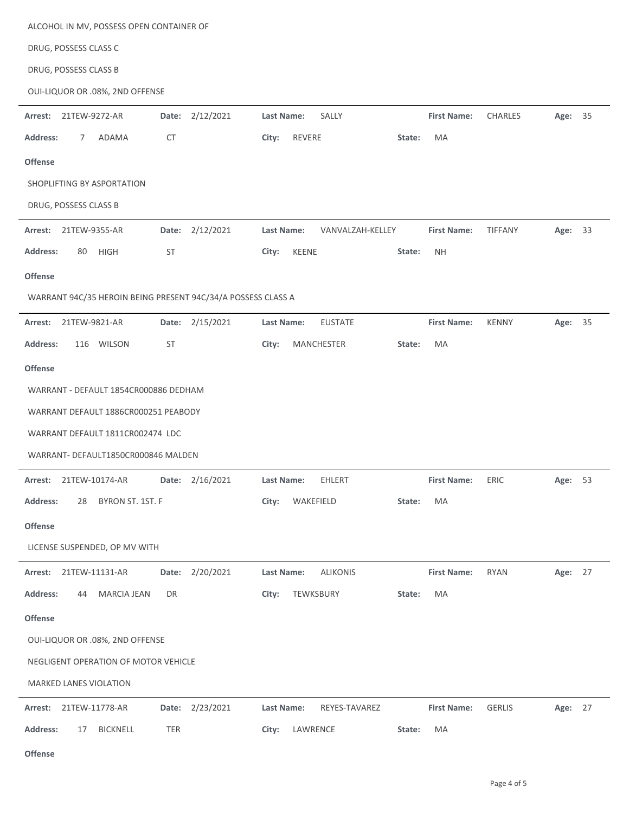| ALCOHOL IN MV, POSSESS OPEN CONTAINER OF                     |                                 |                                                 |  |  |  |  |  |  |  |  |  |  |  |
|--------------------------------------------------------------|---------------------------------|-------------------------------------------------|--|--|--|--|--|--|--|--|--|--|--|
| DRUG, POSSESS CLASS C                                        |                                 |                                                 |  |  |  |  |  |  |  |  |  |  |  |
| DRUG, POSSESS CLASS B                                        |                                 |                                                 |  |  |  |  |  |  |  |  |  |  |  |
| OUI-LIQUOR OR .08%, 2ND OFFENSE                              |                                 |                                                 |  |  |  |  |  |  |  |  |  |  |  |
| 2/12/2021<br>21TEW-9272-AR<br>Date:<br>Arrest:               | Last Name:<br>SALLY             | <b>First Name:</b><br><b>CHARLES</b><br>Age: 35 |  |  |  |  |  |  |  |  |  |  |  |
| <b>Address:</b><br>ADAMA<br>CT<br>7                          | City:<br>REVERE<br>State:       | MA                                              |  |  |  |  |  |  |  |  |  |  |  |
| <b>Offense</b>                                               |                                 |                                                 |  |  |  |  |  |  |  |  |  |  |  |
| SHOPLIFTING BY ASPORTATION                                   |                                 |                                                 |  |  |  |  |  |  |  |  |  |  |  |
| DRUG, POSSESS CLASS B                                        |                                 |                                                 |  |  |  |  |  |  |  |  |  |  |  |
| Date: 2/12/2021<br>Arrest:<br>21TEW-9355-AR                  | Last Name:<br>VANVALZAH-KELLEY  | <b>First Name:</b><br>TIFFANY<br>Age: 33        |  |  |  |  |  |  |  |  |  |  |  |
| <b>Address:</b><br>80<br><b>HIGH</b><br>ST                   | City:<br><b>KEENE</b><br>State: | <b>NH</b>                                       |  |  |  |  |  |  |  |  |  |  |  |
| <b>Offense</b>                                               |                                 |                                                 |  |  |  |  |  |  |  |  |  |  |  |
| WARRANT 94C/35 HEROIN BEING PRESENT 94C/34/A POSSESS CLASS A |                                 |                                                 |  |  |  |  |  |  |  |  |  |  |  |
| 21TEW-9821-AR<br>Date: 2/15/2021<br>Arrest:                  | <b>EUSTATE</b><br>Last Name:    | <b>First Name:</b><br><b>KENNY</b><br>Age: 35   |  |  |  |  |  |  |  |  |  |  |  |
| 116 WILSON<br><b>Address:</b><br><b>ST</b>                   | City:<br>MANCHESTER<br>State:   | MA                                              |  |  |  |  |  |  |  |  |  |  |  |
| <b>Offense</b>                                               |                                 |                                                 |  |  |  |  |  |  |  |  |  |  |  |
| WARRANT - DEFAULT 1854CR000886 DEDHAM                        |                                 |                                                 |  |  |  |  |  |  |  |  |  |  |  |
| WARRANT DEFAULT 1886CR000251 PEABODY                         |                                 |                                                 |  |  |  |  |  |  |  |  |  |  |  |
| WARRANT DEFAULT 1811CR002474 LDC                             |                                 |                                                 |  |  |  |  |  |  |  |  |  |  |  |
| WARRANT- DEFAULT1850CR000846 MALDEN                          |                                 |                                                 |  |  |  |  |  |  |  |  |  |  |  |
| Date: 2/16/2021<br>Arrest: 21TEW-10174-AR                    | EHLERT<br>Last Name:            | ERIC<br>53<br><b>First Name:</b><br>Age:        |  |  |  |  |  |  |  |  |  |  |  |
| <b>Address:</b><br>BYRON ST. 1ST. F<br>28                    | WAKEFIELD<br>City:<br>State:    | MA                                              |  |  |  |  |  |  |  |  |  |  |  |
| Offense                                                      |                                 |                                                 |  |  |  |  |  |  |  |  |  |  |  |
| LICENSE SUSPENDED, OP MV WITH                                |                                 |                                                 |  |  |  |  |  |  |  |  |  |  |  |
| 2/20/2021<br>Arrest:<br>21TEW-11131-AR<br>Date:              | Last Name:<br><b>ALIKONIS</b>   | <b>First Name:</b><br><b>RYAN</b><br>Age: 27    |  |  |  |  |  |  |  |  |  |  |  |
| <b>Address:</b><br><b>MARCIA JEAN</b><br>DR<br>44            | TEWKSBURY<br>City:<br>State:    | MA                                              |  |  |  |  |  |  |  |  |  |  |  |
| <b>Offense</b>                                               |                                 |                                                 |  |  |  |  |  |  |  |  |  |  |  |
| OUI-LIQUOR OR .08%, 2ND OFFENSE                              |                                 |                                                 |  |  |  |  |  |  |  |  |  |  |  |
| NEGLIGENT OPERATION OF MOTOR VEHICLE                         |                                 |                                                 |  |  |  |  |  |  |  |  |  |  |  |
| MARKED LANES VIOLATION                                       |                                 |                                                 |  |  |  |  |  |  |  |  |  |  |  |
| Date: 2/23/2021<br>Arrest:<br>21TEW-11778-AR                 | Last Name:<br>REYES-TAVAREZ     | <b>First Name:</b><br><b>GERLIS</b><br>Age: 27  |  |  |  |  |  |  |  |  |  |  |  |
| <b>Address:</b><br><b>BICKNELL</b><br>TER<br>17              | LAWRENCE<br>City:<br>State:     | MA                                              |  |  |  |  |  |  |  |  |  |  |  |

**Offense**